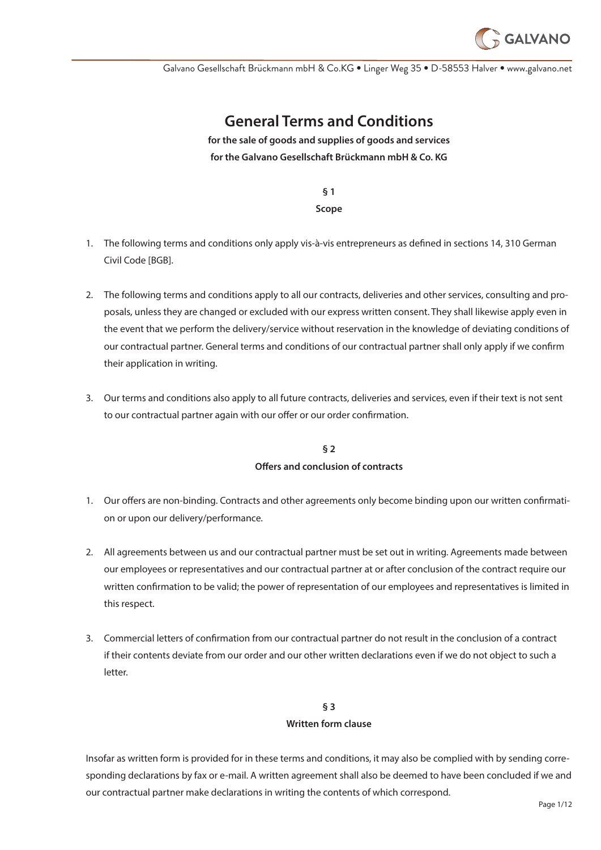

# **General Terms and Conditions**

**for the sale of goods and supplies of goods and services for the Galvano Gesellschaft Brückmann mbH & Co. KG**

### **§ 1**

**Scope**

- 1. The following terms and conditions only apply vis-à-vis entrepreneurs as defined in sections 14, 310 German Civil Code [BGB].
- 2. The following terms and conditions apply to all our contracts, deliveries and other services, consulting and proposals, unless they are changed or excluded with our express written consent. They shall likewise apply even in the event that we perform the delivery/service without reservation in the knowledge of deviating conditions of our contractual partner. General terms and conditions of our contractual partner shall only apply if we confirm their application in writing.
- 3. Our terms and conditions also apply to all future contracts, deliveries and services, even if their text is not sent to our contractual partner again with our offer or our order confirmation.

# **§ 2 Offers and conclusion of contracts**

- 1. Our offers are non-binding. Contracts and other agreements only become binding upon our written confirmation or upon our delivery/performance.
- 2. All agreements between us and our contractual partner must be set out in writing. Agreements made between our employees or representatives and our contractual partner at or after conclusion of the contract require our written confirmation to be valid; the power of representation of our employees and representatives is limited in this respect.
- 3. Commercial letters of confirmation from our contractual partner do not result in the conclusion of a contract if their contents deviate from our order and our other written declarations even if we do not object to such a letter.

### **§ 3**

### **Written form clause**

Insofar as written form is provided for in these terms and conditions, it may also be complied with by sending corresponding declarations by fax or e-mail. A written agreement shall also be deemed to have been concluded if we and our contractual partner make declarations in writing the contents of which correspond.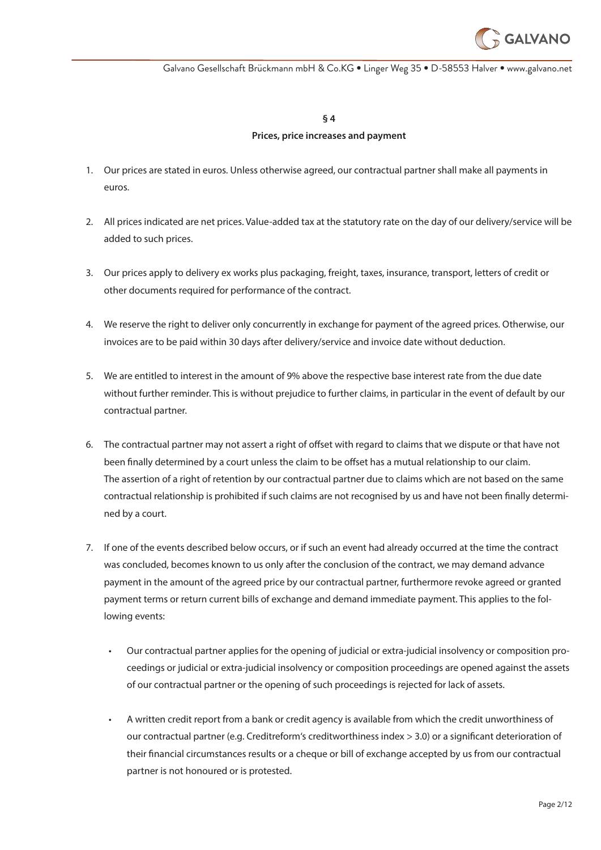

#### **§ 4**

#### **Prices, price increases and payment**

- 1. Our prices are stated in euros. Unless otherwise agreed, our contractual partner shall make all payments in euros.
- 2. All prices indicated are net prices. Value-added tax at the statutory rate on the day of our delivery/service will be added to such prices.
- 3. Our prices apply to delivery ex works plus packaging, freight, taxes, insurance, transport, letters of credit or other documents required for performance of the contract.
- 4. We reserve the right to deliver only concurrently in exchange for payment of the agreed prices. Otherwise, our invoices are to be paid within 30 days after delivery/service and invoice date without deduction.
- 5. We are entitled to interest in the amount of 9% above the respective base interest rate from the due date without further reminder. This is without prejudice to further claims, in particular in the event of default by our contractual partner.
- 6. The contractual partner may not assert a right of offset with regard to claims that we dispute or that have not been finally determined by a court unless the claim to be offset has a mutual relationship to our claim. The assertion of a right of retention by our contractual partner due to claims which are not based on the same contractual relationship is prohibited if such claims are not recognised by us and have not been finally determined by a court.
- 7. If one of the events described below occurs, or if such an event had already occurred at the time the contract was concluded, becomes known to us only after the conclusion of the contract, we may demand advance payment in the amount of the agreed price by our contractual partner, furthermore revoke agreed or granted payment terms or return current bills of exchange and demand immediate payment. This applies to the following events:
	- Our contractual partner applies for the opening of judicial or extra-judicial insolvency or composition proceedings or judicial or extra-judicial insolvency or composition proceedings are opened against the assets of our contractual partner or the opening of such proceedings is rejected for lack of assets.
	- A written credit report from a bank or credit agency is available from which the credit unworthiness of our contractual partner (e.g. Creditreform's creditworthiness index > 3.0) or a significant deterioration of their financial circumstances results or a cheque or bill of exchange accepted by us from our contractual partner is not honoured or is protested.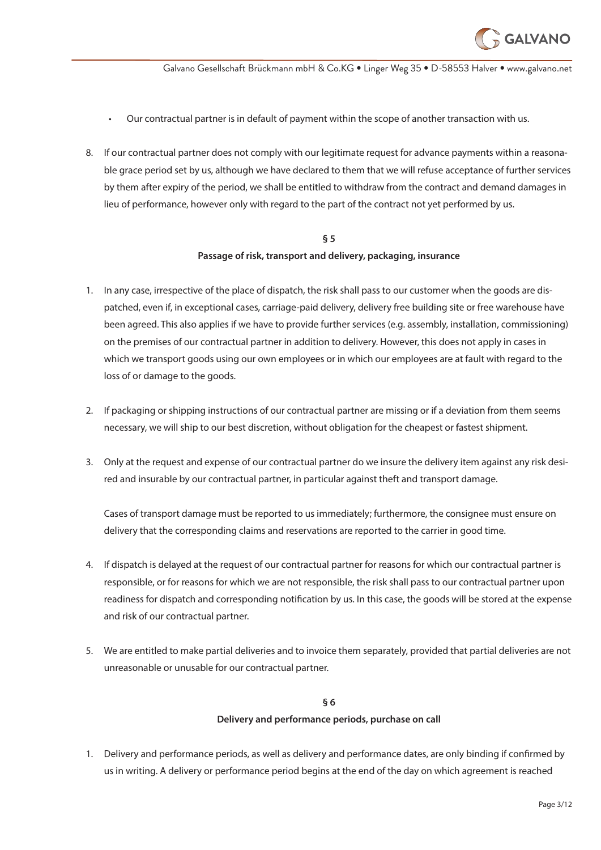

- Our contractual partner is in default of payment within the scope of another transaction with us.
- 8. If our contractual partner does not comply with our legitimate request for advance payments within a reasonable grace period set by us, although we have declared to them that we will refuse acceptance of further services by them after expiry of the period, we shall be entitled to withdraw from the contract and demand damages in lieu of performance, however only with regard to the part of the contract not yet performed by us.

#### **§ 5**

#### **Passage of risk, transport and delivery, packaging, insurance**

- 1. In any case, irrespective of the place of dispatch, the risk shall pass to our customer when the goods are dispatched, even if, in exceptional cases, carriage-paid delivery, delivery free building site or free warehouse have been agreed. This also applies if we have to provide further services (e.g. assembly, installation, commissioning) on the premises of our contractual partner in addition to delivery. However, this does not apply in cases in which we transport goods using our own employees or in which our employees are at fault with regard to the loss of or damage to the goods.
- 2. If packaging or shipping instructions of our contractual partner are missing or if a deviation from them seems necessary, we will ship to our best discretion, without obligation for the cheapest or fastest shipment.
- 3. Only at the request and expense of our contractual partner do we insure the delivery item against any risk desired and insurable by our contractual partner, in particular against theft and transport damage.

Cases of transport damage must be reported to us immediately; furthermore, the consignee must ensure on delivery that the corresponding claims and reservations are reported to the carrier in good time.

- 4. If dispatch is delayed at the request of our contractual partner for reasons for which our contractual partner is responsible, or for reasons for which we are not responsible, the risk shall pass to our contractual partner upon readiness for dispatch and corresponding notification by us. In this case, the goods will be stored at the expense and risk of our contractual partner.
- 5. We are entitled to make partial deliveries and to invoice them separately, provided that partial deliveries are not unreasonable or unusable for our contractual partner.

### **§ 6**

#### **Delivery and performance periods, purchase on call**

1. Delivery and performance periods, as well as delivery and performance dates, are only binding if confirmed by us in writing. A delivery or performance period begins at the end of the day on which agreement is reached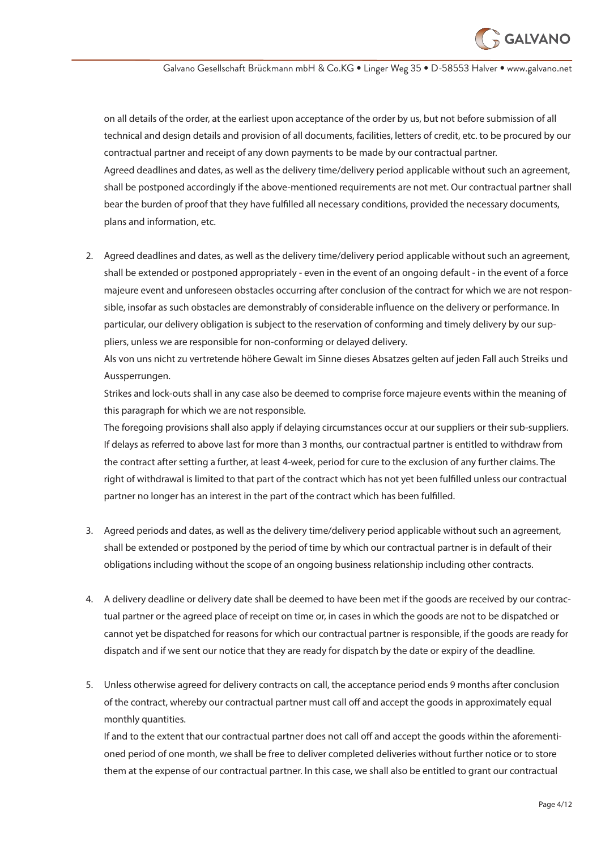

on all details of the order, at the earliest upon acceptance of the order by us, but not before submission of all technical and design details and provision of all documents, facilities, letters of credit, etc. to be procured by our contractual partner and receipt of any down payments to be made by our contractual partner. Agreed deadlines and dates, as well as the delivery time/delivery period applicable without such an agreement, shall be postponed accordingly if the above-mentioned requirements are not met. Our contractual partner shall bear the burden of proof that they have fulfilled all necessary conditions, provided the necessary documents, plans and information, etc.

2. Agreed deadlines and dates, as well as the delivery time/delivery period applicable without such an agreement, shall be extended or postponed appropriately - even in the event of an ongoing default - in the event of a force majeure event and unforeseen obstacles occurring after conclusion of the contract for which we are not responsible, insofar as such obstacles are demonstrably of considerable influence on the delivery or performance. In particular, our delivery obligation is subject to the reservation of conforming and timely delivery by our suppliers, unless we are responsible for non-conforming or delayed delivery.

Als von uns nicht zu vertretende höhere Gewalt im Sinne dieses Absatzes gelten auf jeden Fall auch Streiks und Aussperrungen.

Strikes and lock-outs shall in any case also be deemed to comprise force majeure events within the meaning of this paragraph for which we are not responsible.

The foregoing provisions shall also apply if delaying circumstances occur at our suppliers or their sub-suppliers. If delays as referred to above last for more than 3 months, our contractual partner is entitled to withdraw from the contract after setting a further, at least 4-week, period for cure to the exclusion of any further claims. The right of withdrawal is limited to that part of the contract which has not yet been fulfilled unless our contractual partner no longer has an interest in the part of the contract which has been fulfilled.

- 3. Agreed periods and dates, as well as the delivery time/delivery period applicable without such an agreement, shall be extended or postponed by the period of time by which our contractual partner is in default of their obligations including without the scope of an ongoing business relationship including other contracts.
- 4. A delivery deadline or delivery date shall be deemed to have been met if the goods are received by our contractual partner or the agreed place of receipt on time or, in cases in which the goods are not to be dispatched or cannot yet be dispatched for reasons for which our contractual partner is responsible, if the goods are ready for dispatch and if we sent our notice that they are ready for dispatch by the date or expiry of the deadline.
- 5. Unless otherwise agreed for delivery contracts on call, the acceptance period ends 9 months after conclusion of the contract, whereby our contractual partner must call off and accept the goods in approximately equal monthly quantities.

If and to the extent that our contractual partner does not call off and accept the goods within the aforementioned period of one month, we shall be free to deliver completed deliveries without further notice or to store them at the expense of our contractual partner. In this case, we shall also be entitled to grant our contractual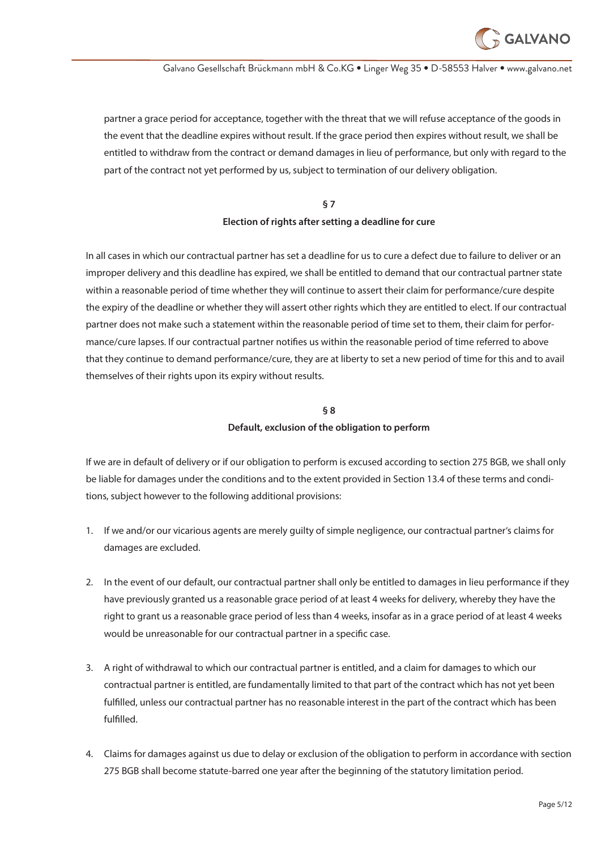

partner a grace period for acceptance, together with the threat that we will refuse acceptance of the goods in the event that the deadline expires without result. If the grace period then expires without result, we shall be entitled to withdraw from the contract or demand damages in lieu of performance, but only with regard to the part of the contract not yet performed by us, subject to termination of our delivery obligation.

# **§ 7 Election of rights after setting a deadline for cure**

In all cases in which our contractual partner has set a deadline for us to cure a defect due to failure to deliver or an improper delivery and this deadline has expired, we shall be entitled to demand that our contractual partner state within a reasonable period of time whether they will continue to assert their claim for performance/cure despite the expiry of the deadline or whether they will assert other rights which they are entitled to elect. If our contractual partner does not make such a statement within the reasonable period of time set to them, their claim for performance/cure lapses. If our contractual partner notifies us within the reasonable period of time referred to above that they continue to demand performance/cure, they are at liberty to set a new period of time for this and to avail themselves of their rights upon its expiry without results.

# **§ 8 Default, exclusion of the obligation to perform**

If we are in default of delivery or if our obligation to perform is excused according to section 275 BGB, we shall only be liable for damages under the conditions and to the extent provided in Section 13.4 of these terms and conditions, subject however to the following additional provisions:

- 1. If we and/or our vicarious agents are merely guilty of simple negligence, our contractual partner's claims for damages are excluded.
- 2. In the event of our default, our contractual partner shall only be entitled to damages in lieu performance if they have previously granted us a reasonable grace period of at least 4 weeks for delivery, whereby they have the right to grant us a reasonable grace period of less than 4 weeks, insofar as in a grace period of at least 4 weeks would be unreasonable for our contractual partner in a specific case.
- 3. A right of withdrawal to which our contractual partner is entitled, and a claim for damages to which our contractual partner is entitled, are fundamentally limited to that part of the contract which has not yet been fulfilled, unless our contractual partner has no reasonable interest in the part of the contract which has been fulfilled.
- 4. Claims for damages against us due to delay or exclusion of the obligation to perform in accordance with section 275 BGB shall become statute-barred one year after the beginning of the statutory limitation period.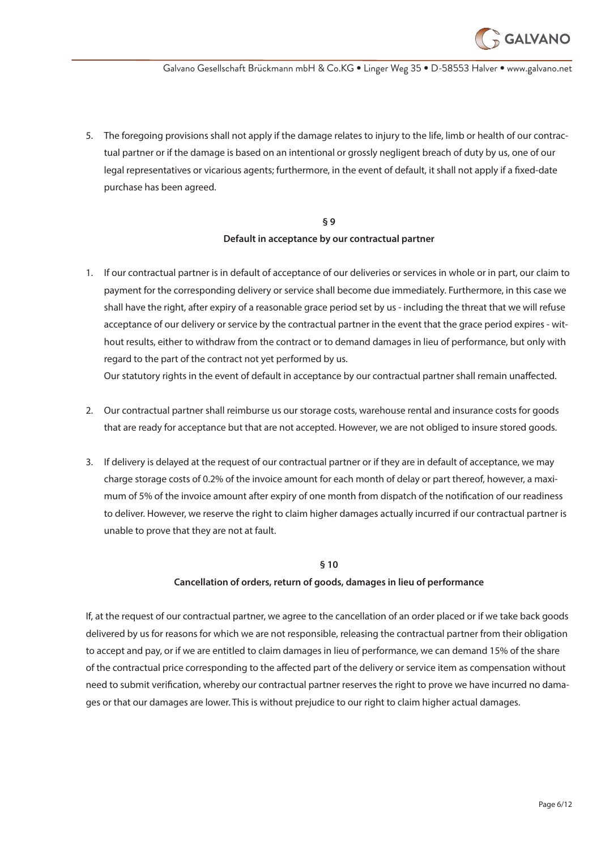

5. The foregoing provisions shall not apply if the damage relates to injury to the life, limb or health of our contractual partner or if the damage is based on an intentional or grossly negligent breach of duty by us, one of our legal representatives or vicarious agents; furthermore, in the event of default, it shall not apply if a fixed-date purchase has been agreed.

#### **§ 9**

#### **Default in acceptance by our contractual partner**

1. If our contractual partner is in default of acceptance of our deliveries or services in whole or in part, our claim to payment for the corresponding delivery or service shall become due immediately. Furthermore, in this case we shall have the right, after expiry of a reasonable grace period set by us - including the threat that we will refuse acceptance of our delivery or service by the contractual partner in the event that the grace period expires - without results, either to withdraw from the contract or to demand damages in lieu of performance, but only with regard to the part of the contract not yet performed by us.

Our statutory rights in the event of default in acceptance by our contractual partner shall remain unaffected.

- 2. Our contractual partner shall reimburse us our storage costs, warehouse rental and insurance costs for goods that are ready for acceptance but that are not accepted. However, we are not obliged to insure stored goods.
- 3. If delivery is delayed at the request of our contractual partner or if they are in default of acceptance, we may charge storage costs of 0.2% of the invoice amount for each month of delay or part thereof, however, a maximum of 5% of the invoice amount after expiry of one month from dispatch of the notification of our readiness to deliver. However, we reserve the right to claim higher damages actually incurred if our contractual partner is unable to prove that they are not at fault.

#### **§ 10**

#### **Cancellation of orders, return of goods, damages in lieu of performance**

If, at the request of our contractual partner, we agree to the cancellation of an order placed or if we take back goods delivered by us for reasons for which we are not responsible, releasing the contractual partner from their obligation to accept and pay, or if we are entitled to claim damages in lieu of performance, we can demand 15% of the share of the contractual price corresponding to the affected part of the delivery or service item as compensation without need to submit verification, whereby our contractual partner reserves the right to prove we have incurred no damages or that our damages are lower. This is without prejudice to our right to claim higher actual damages.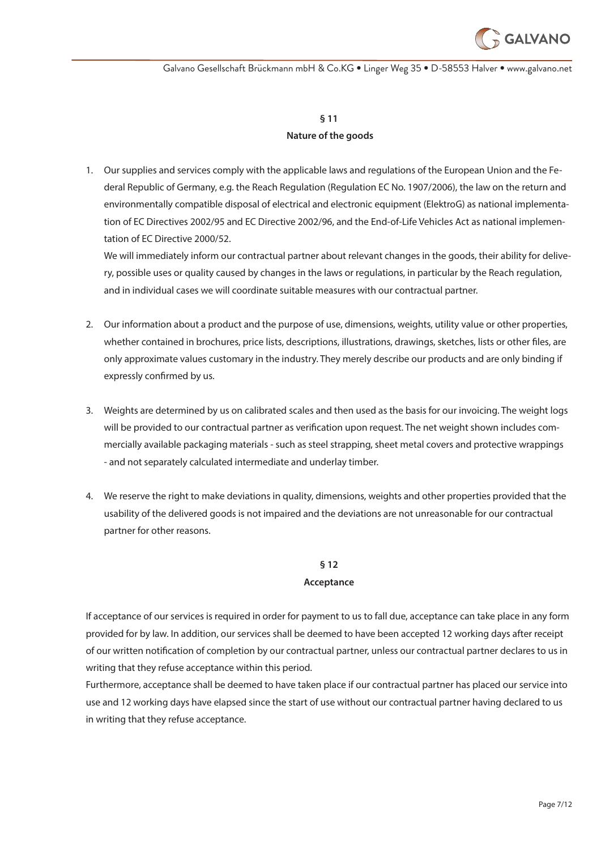

# **§ 11 Nature of the goods**

1. Our supplies and services comply with the applicable laws and regulations of the European Union and the Federal Republic of Germany, e.g. the Reach Regulation (Regulation EC No. 1907/2006), the law on the return and environmentally compatible disposal of electrical and electronic equipment (ElektroG) as national implementation of EC Directives 2002/95 and EC Directive 2002/96, and the End-of-Life Vehicles Act as national implementation of EC Directive 2000/52.

We will immediately inform our contractual partner about relevant changes in the goods, their ability for delivery, possible uses or quality caused by changes in the laws or regulations, in particular by the Reach regulation, and in individual cases we will coordinate suitable measures with our contractual partner.

- 2. Our information about a product and the purpose of use, dimensions, weights, utility value or other properties, whether contained in brochures, price lists, descriptions, illustrations, drawings, sketches, lists or other files, are only approximate values customary in the industry. They merely describe our products and are only binding if expressly confirmed by us.
- 3. Weights are determined by us on calibrated scales and then used as the basis for our invoicing. The weight logs will be provided to our contractual partner as verification upon request. The net weight shown includes commercially available packaging materials - such as steel strapping, sheet metal covers and protective wrappings - and not separately calculated intermediate and underlay timber.
- 4. We reserve the right to make deviations in quality, dimensions, weights and other properties provided that the usability of the delivered goods is not impaired and the deviations are not unreasonable for our contractual partner for other reasons.

### **§ 12**

#### **Acceptance**

If acceptance of our services is required in order for payment to us to fall due, acceptance can take place in any form provided for by law. In addition, our services shall be deemed to have been accepted 12 working days after receipt of our written notification of completion by our contractual partner, unless our contractual partner declares to us in writing that they refuse acceptance within this period.

Furthermore, acceptance shall be deemed to have taken place if our contractual partner has placed our service into use and 12 working days have elapsed since the start of use without our contractual partner having declared to us in writing that they refuse acceptance.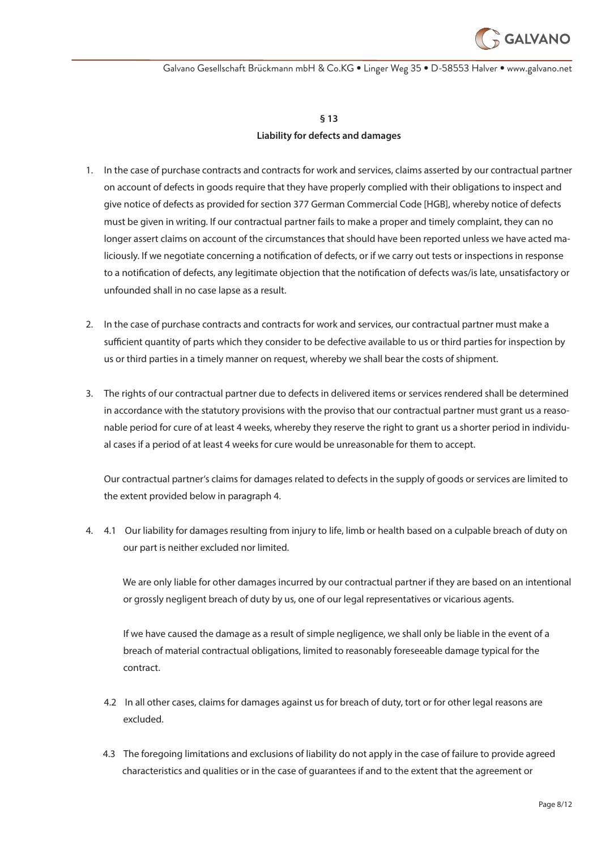

# **§ 13 Liability for defects and damages**

- 1. In the case of purchase contracts and contracts for work and services, claims asserted by our contractual partner on account of defects in goods require that they have properly complied with their obligations to inspect and give notice of defects as provided for section 377 German Commercial Code [HGB], whereby notice of defects must be given in writing. If our contractual partner fails to make a proper and timely complaint, they can no longer assert claims on account of the circumstances that should have been reported unless we have acted maliciously. If we negotiate concerning a notification of defects, or if we carry out tests or inspections in response to a notification of defects, any legitimate objection that the notification of defects was/is late, unsatisfactory or unfounded shall in no case lapse as a result.
- 2. In the case of purchase contracts and contracts for work and services, our contractual partner must make a sufficient quantity of parts which they consider to be defective available to us or third parties for inspection by us or third parties in a timely manner on request, whereby we shall bear the costs of shipment.
- 3. The rights of our contractual partner due to defects in delivered items or services rendered shall be determined in accordance with the statutory provisions with the proviso that our contractual partner must grant us a reasonable period for cure of at least 4 weeks, whereby they reserve the right to grant us a shorter period in individual cases if a period of at least 4 weeks for cure would be unreasonable for them to accept.

Our contractual partner's claims for damages related to defects in the supply of goods or services are limited to the extent provided below in paragraph 4.

4. 4.1 Our liability for damages resulting from injury to life, limb or health based on a culpable breach of duty on our part is neither excluded nor limited.

 We are only liable for other damages incurred by our contractual partner if they are based on an intentional or grossly negligent breach of duty by us, one of our legal representatives or vicarious agents.

 If we have caused the damage as a result of simple negligence, we shall only be liable in the event of a breach of material contractual obligations, limited to reasonably foreseeable damage typical for the contract.

- 4.2 In all other cases, claims for damages against us for breach of duty, tort or for other legal reasons are excluded.
- 4.3 The foregoing limitations and exclusions of liability do not apply in the case of failure to provide agreed characteristics and qualities or in the case of guarantees if and to the extent that the agreement or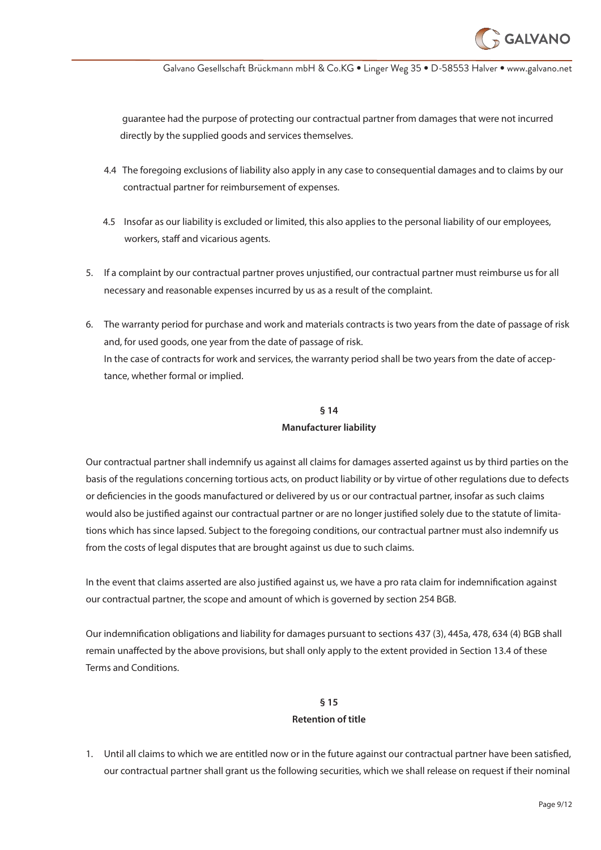

 guarantee had the purpose of protecting our contractual partner from damages that were not incurred directly by the supplied goods and services themselves.

- 4.4 The foregoing exclusions of liability also apply in any case to consequential damages and to claims by our contractual partner for reimbursement of expenses.
- 4.5 Insofar as our liability is excluded or limited, this also applies to the personal liability of our employees, workers, staff and vicarious agents.
- 5. If a complaint by our contractual partner proves unjustified, our contractual partner must reimburse us for all necessary and reasonable expenses incurred by us as a result of the complaint.
- 6. The warranty period for purchase and work and materials contracts is two years from the date of passage of risk and, for used goods, one year from the date of passage of risk. In the case of contracts for work and services, the warranty period shall be two years from the date of acceptance, whether formal or implied.

# **§ 14 Manufacturer liability**

Our contractual partner shall indemnify us against all claims for damages asserted against us by third parties on the basis of the regulations concerning tortious acts, on product liability or by virtue of other regulations due to defects or deficiencies in the goods manufactured or delivered by us or our contractual partner, insofar as such claims would also be justified against our contractual partner or are no longer justified solely due to the statute of limitations which has since lapsed. Subject to the foregoing conditions, our contractual partner must also indemnify us from the costs of legal disputes that are brought against us due to such claims.

In the event that claims asserted are also justified against us, we have a pro rata claim for indemnification against our contractual partner, the scope and amount of which is governed by section 254 BGB.

Our indemnification obligations and liability for damages pursuant to sections 437 (3), 445a, 478, 634 (4) BGB shall remain unaffected by the above provisions, but shall only apply to the extent provided in Section 13.4 of these Terms and Conditions.

# **§ 15**

### **Retention of title**

1. Until all claims to which we are entitled now or in the future against our contractual partner have been satisfied, our contractual partner shall grant us the following securities, which we shall release on request if their nominal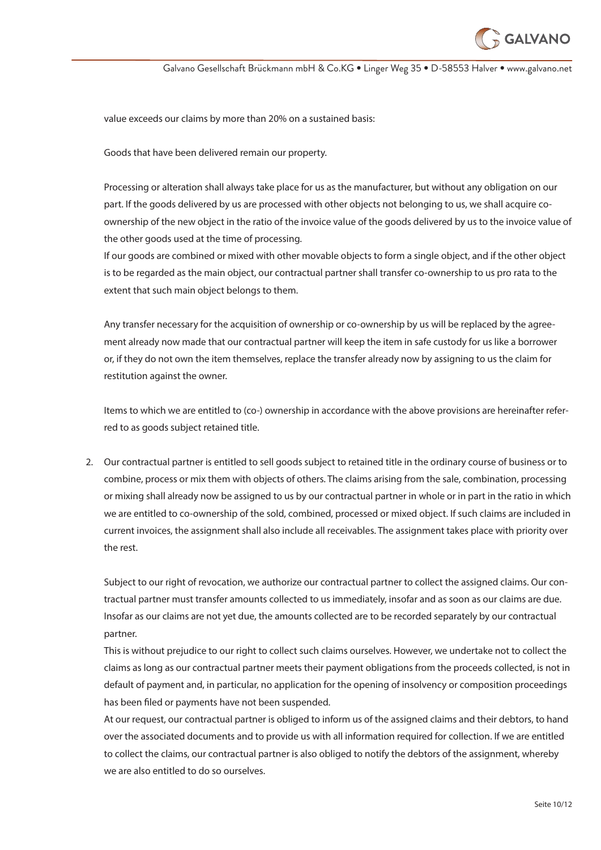

value exceeds our claims by more than 20% on a sustained basis:

Goods that have been delivered remain our property.

Processing or alteration shall always take place for us as the manufacturer, but without any obligation on our part. If the goods delivered by us are processed with other objects not belonging to us, we shall acquire coownership of the new object in the ratio of the invoice value of the goods delivered by us to the invoice value of the other goods used at the time of processing.

If our goods are combined or mixed with other movable objects to form a single object, and if the other object is to be regarded as the main object, our contractual partner shall transfer co-ownership to us pro rata to the extent that such main object belongs to them.

Any transfer necessary for the acquisition of ownership or co-ownership by us will be replaced by the agreement already now made that our contractual partner will keep the item in safe custody for us like a borrower or, if they do not own the item themselves, replace the transfer already now by assigning to us the claim for restitution against the owner.

Items to which we are entitled to (co-) ownership in accordance with the above provisions are hereinafter referred to as goods subject retained title.

2. Our contractual partner is entitled to sell goods subject to retained title in the ordinary course of business or to combine, process or mix them with objects of others. The claims arising from the sale, combination, processing or mixing shall already now be assigned to us by our contractual partner in whole or in part in the ratio in which we are entitled to co-ownership of the sold, combined, processed or mixed object. If such claims are included in current invoices, the assignment shall also include all receivables. The assignment takes place with priority over the rest.

Subject to our right of revocation, we authorize our contractual partner to collect the assigned claims. Our contractual partner must transfer amounts collected to us immediately, insofar and as soon as our claims are due. Insofar as our claims are not yet due, the amounts collected are to be recorded separately by our contractual partner.

This is without prejudice to our right to collect such claims ourselves. However, we undertake not to collect the claims as long as our contractual partner meets their payment obligations from the proceeds collected, is not in default of payment and, in particular, no application for the opening of insolvency or composition proceedings has been filed or payments have not been suspended.

At our request, our contractual partner is obliged to inform us of the assigned claims and their debtors, to hand over the associated documents and to provide us with all information required for collection. If we are entitled to collect the claims, our contractual partner is also obliged to notify the debtors of the assignment, whereby we are also entitled to do so ourselves.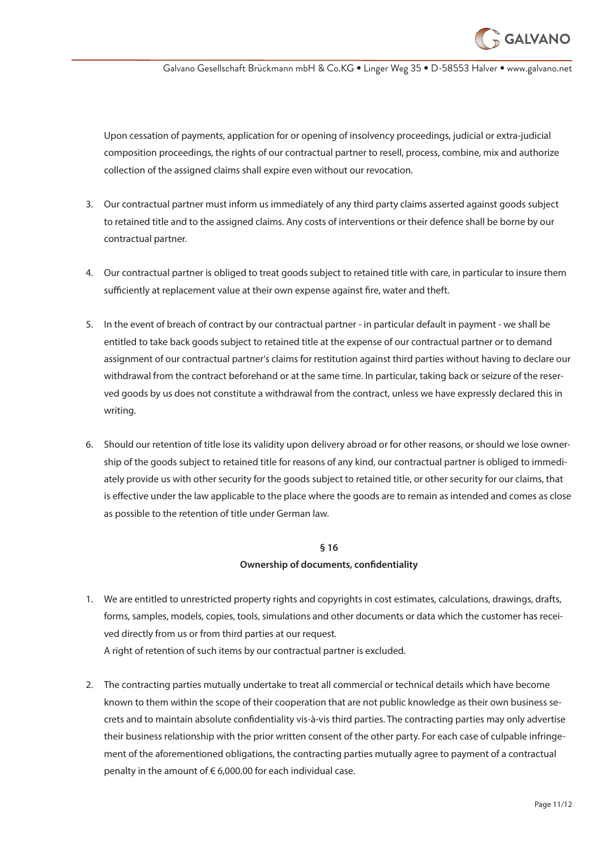

Upon cessation of payments, application for or opening of insolvency proceedings, judicial or extra-judicial composition proceedings, the rights of our contractual partner to resell, process, combine, mix and authorize collection of the assigned claims shall expire even without our revocation.

- 3. Our contractual partner must inform us immediately of any third party claims asserted against goods subject to retained title and to the assigned claims. Any costs of interventions or their defence shall be borne by our contractual partner.
- 4. Our contractual partner is obliged to treat goods subject to retained title with care, in particular to insure them sufficiently at replacement value at their own expense against fire, water and theft.
- 5. In the event of breach of contract by our contractual partner in particular default in payment we shall be entitled to take back goods subject to retained title at the expense of our contractual partner or to demand assignment of our contractual partner's claims for restitution against third parties without having to declare our withdrawal from the contract beforehand or at the same time. In particular, taking back or seizure of the reserved goods by us does not constitute a withdrawal from the contract, unless we have expressly declared this in writing.
- 6. Should our retention of title lose its validity upon delivery abroad or for other reasons, or should we lose ownership of the goods subject to retained title for reasons of any kind, our contractual partner is obliged to immediately provide us with other security for the goods subject to retained title, or other security for our claims, that is effective under the law applicable to the place where the goods are to remain as intended and comes as close as possible to the retention of title under German law.

### **§ 16**

#### **Ownership of documents, confidentiality**

- 1. We are entitled to unrestricted property rights and copyrights in cost estimates, calculations, drawings, drafts, forms, samples, models, copies, tools, simulations and other documents or data which the customer has received directly from us or from third parties at our request. A right of retention of such items by our contractual partner is excluded.
- 2. The contracting parties mutually undertake to treat all commercial or technical details which have become known to them within the scope of their cooperation that are not public knowledge as their own business secrets and to maintain absolute confidentiality vis-à-vis third parties. The contracting parties may only advertise their business relationship with the prior written consent of the other party. For each case of culpable infringement of the aforementioned obligations, the contracting parties mutually agree to payment of a contractual penalty in the amount of  $\epsilon$  6,000.00 for each individual case.